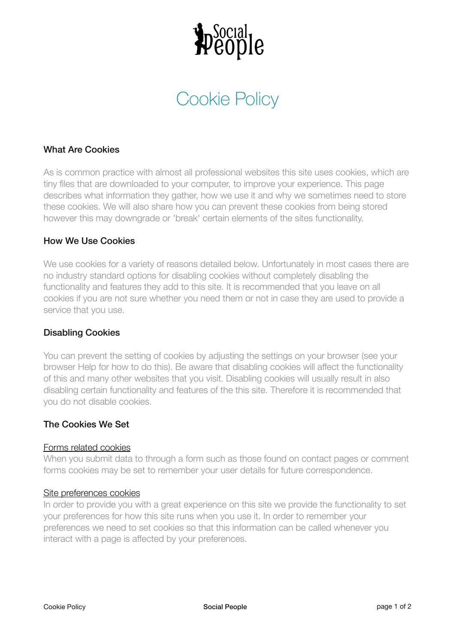

# Cookie Policy

## What Are Cookies

As is common practice with almost all professional websites this site uses cookies, which are tiny files that are downloaded to your computer, to improve your experience. This page describes what information they gather, how we use it and why we sometimes need to store these cookies. We will also share how you can prevent these cookies from being stored however this may downgrade or 'break' certain elements of the sites functionality.

### How We Use Cookies

We use cookies for a variety of reasons detailed below. Unfortunately in most cases there are no industry standard options for disabling cookies without completely disabling the functionality and features they add to this site. It is recommended that you leave on all cookies if you are not sure whether you need them or not in case they are used to provide a service that you use.

### Disabling Cookies

You can prevent the setting of cookies by adjusting the settings on your browser (see your browser Help for how to do this). Be aware that disabling cookies will affect the functionality of this and many other websites that you visit. Disabling cookies will usually result in also disabling certain functionality and features of the this site. Therefore it is recommended that you do not disable cookies.

### The Cookies We Set

#### Forms related cookies

When you submit data to through a form such as those found on contact pages or comment forms cookies may be set to remember your user details for future correspondence.

#### Site preferences cookies

In order to provide you with a great experience on this site we provide the functionality to set your preferences for how this site runs when you use it. In order to remember your preferences we need to set cookies so that this information can be called whenever you interact with a page is affected by your preferences.